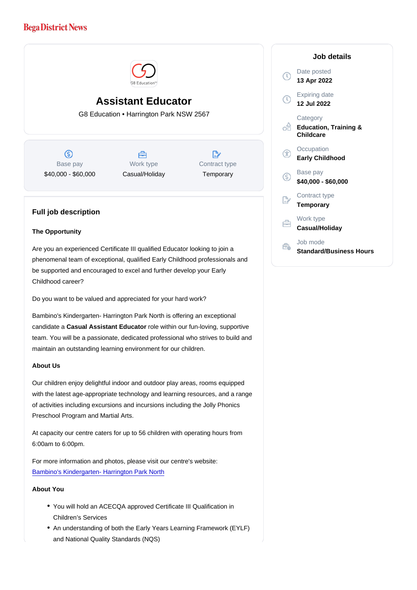# Assistant Educator

G8 Education • Harrington Park NSW 2567

Base pay \$40,000 - \$60,000

Work type Casual/Holiday Contract type **Temporary** 

# Full job description

# The Opportunity

Are you an experienced Certificate III qualified Educator looking to join a phenomenal team of exceptional, qualified Early Childhood professionals and be supported and encouraged to excel and further develop your Early Childhood career?

Do you want to be valued and appreciated for your hard work?

Bambino's Kindergarten- Harrington Park North is offering an exceptional candidate a Casual Assistant Educator role within our fun-loving, supportive team. You will be a passionate, dedicated professional who strives to build and maintain an outstanding learning environment for our children.

# About Us

Our children enjoy delightful indoor and outdoor play areas, rooms equipped with the latest age-appropriate technology and learning resources, and a range of activities including excursions and incursions including the Jolly Phonics Preschool Program and Martial Arts.

At capacity our centre caters for up to 56 children with operating hours from 6:00am to 6:00pm.

For more information and photos, please visit our centre's website: [Bambino's Kindergarten- Harrington Park North](https://www.bambinoskindergarten.com.au/centres/childcare-harrington-park-north/)

# About You

- You will hold an ACECQA approved Certificate III Qualification in Children's Services
- An understanding of both the Early Years Learning Framework (EYLF) and National Quality Standards (NQS)

Job details

Date posted 13 Apr 2022

Expiring date 12 Jul 2022

**Category** Education, Training & Childcare

**Occupation** Early Childhood

Base pay \$40,000 - \$60,000

Contract type **Temporary** 

Work type Casual/Holiday

Job mode Standard/Business Hours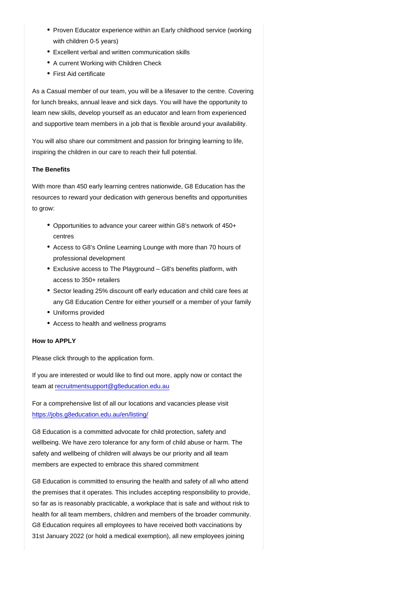- Proven Educator experience within an Early childhood service (working with children 0-5 years)
- Excellent verbal and written communication skills
- A current Working with Children Check
- First Aid certificate

As a Casual member of our team, you will be a lifesaver to the centre. Covering for lunch breaks, annual leave and sick days. You will have the opportunity to learn new skills, develop yourself as an educator and learn from experienced and supportive team members in a job that is flexible around your availability.

You will also share our commitment and passion for bringing learning to life, inspiring the children in our care to reach their full potential.

# The Benefits

With more than 450 early learning centres nationwide, G8 Education has the resources to reward your dedication with generous benefits and opportunities to grow:

- Opportunities to advance your career within G8's network of 450+ centres
- Access to G8's Online Learning Lounge with more than 70 hours of professional development
- Exclusive access to The Playground G8's benefits platform, with access to 350+ retailers
- Sector leading 25% discount off early education and child care fees at any G8 Education Centre for either yourself or a member of your family
- Uniforms provided
- Access to health and wellness programs

# How to APPLY

Please click through to the application form.

If you are interested or would like to find out more, apply now or contact the team at [recruitmentsupport@g8education.edu.au](mailto:recruitmentsupport@g8education.edu.au)

For a comprehensive list of all our locations and vacancies please visit <https://jobs.g8education.edu.au/en/listing/>

G8 Education is a committed advocate for child protection, safety and wellbeing. We have zero tolerance for any form of child abuse or harm. The safety and wellbeing of children will always be our priority and all team members are expected to embrace this shared commitment

G8 Education is committed to ensuring the health and safety of all who attend the premises that it operates. This includes accepting responsibility to provide, so far as is reasonably practicable, a workplace that is safe and without risk to health for all team members, children and members of the broader community. G8 Education requires all employees to have received both vaccinations by 31st January 2022 (or hold a medical exemption), all new employees joining